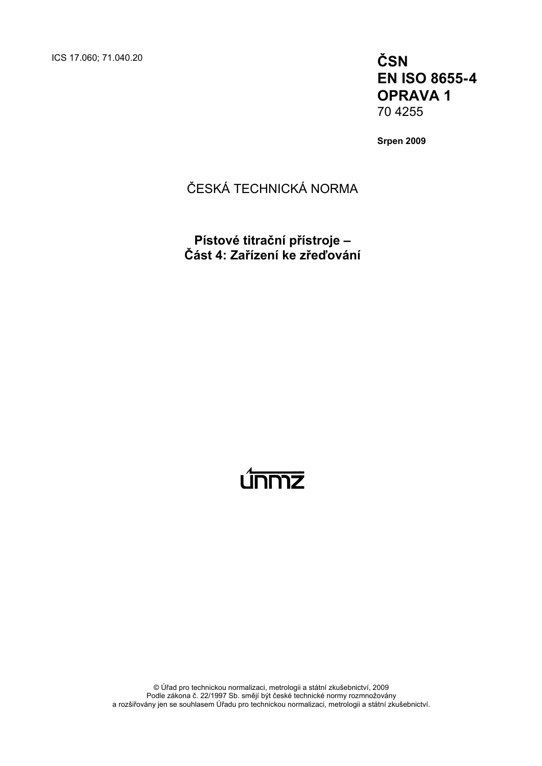ICS 17.060; 71.040.20 **ČSN** 

**EN ISO 8655-4 OPRAVA 1**  70 4255

**Srpen 2009** 

# ČESKÁ TECHNICKÁ NORMA

**Pístové titrační přístroje – Část 4: Zařízení ke zřeďování** 

# <u>únmz</u>

© Úřad pro technickou normalizaci, metrologii a státní zkušebnictví, 2009 Podle zákona č. 22/1997 Sb. smějí být české technické normy rozmnožovány a rozšiřovány jen se souhlasem Úřadu pro technickou normalizaci, metrologii a státní zkušebnictví.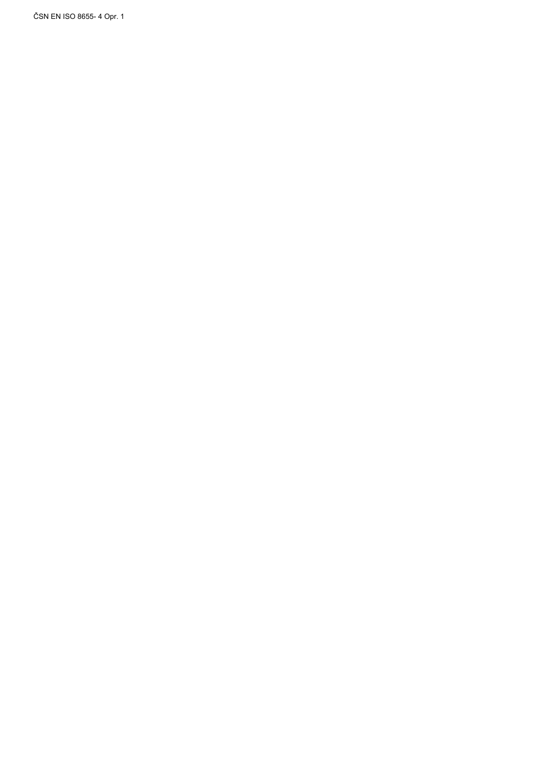ČSN EN ISO 8655- 4 Opr. 1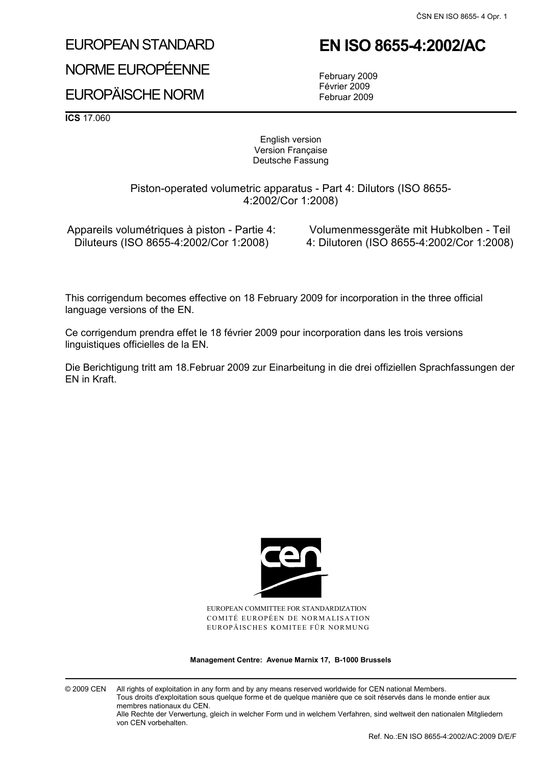### EUROPEAN STANDARD

# **EN ISO 8655-4:2002/AC**

NORME EUROPÉENNE

## EUROPÄISCHE NORM

 February 2009 Février 2009 Februar 2009

**ICS** 17.060

English version Version Française Deutsche Fassung

 Piston-operated volumetric apparatus - Part 4: Dilutors (ISO 8655- 4:2002/Cor 1:2008)

Appareils volumétriques à piston - Partie 4: Diluteurs (ISO 8655-4:2002/Cor 1:2008)

 Volumenmessgeräte mit Hubkolben - Teil 4: Dilutoren (ISO 8655-4:2002/Cor 1:2008)

This corrigendum becomes effective on 18 February 2009 for incorporation in the three official language versions of the EN.

Ce corrigendum prendra effet le 18 février 2009 pour incorporation dans les trois versions linguistiques officielles de la EN.

Die Berichtigung tritt am 18.Februar 2009 zur Einarbeitung in die drei offiziellen Sprachfassungen der EN in Kraft.



EUROPEAN COMMITTEE FOR STANDARDIZATION COMITÉ EUROPÉEN DE NORMALISATION EUROPÄISCHES KOMITEE FÜR NORMUNG

**Management Centre: Avenue Marnix 17, B-1000 Brussels** 

© 2009 CEN All rights of exploitation in any form and by any means reserved worldwide for CEN national Members. Tous droits d'exploitation sous quelque forme et de quelque manière que ce soit réservés dans le monde entier aux membres nationaux du CEN. Alle Rechte der Verwertung, gleich in welcher Form und in welchem Verfahren, sind weltweit den nationalen Mitgliedern

von CEN vorbehalten.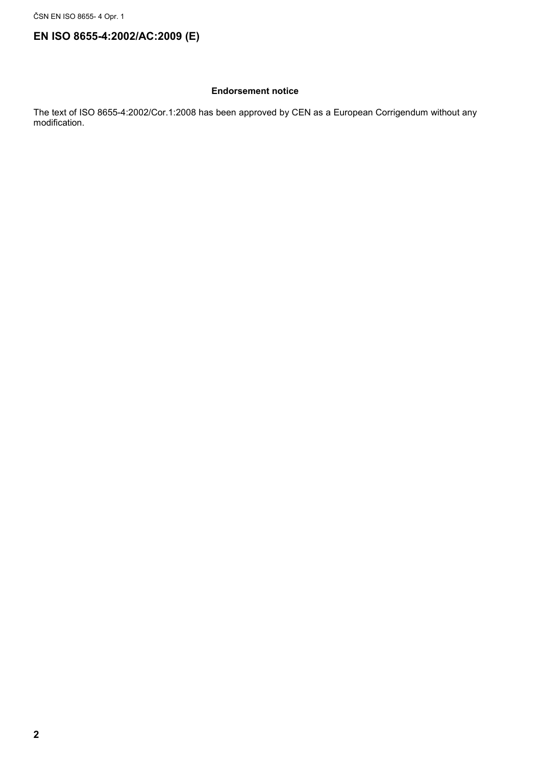ČSN EN ISO 8655- 4 Opr. 1

### **EN ISO 8655-4:2002/AC:2009 (E)**

### **Endorsement notice**

The text of ISO 8655-4:2002/Cor.1:2008 has been approved by CEN as a European Corrigendum without any modification.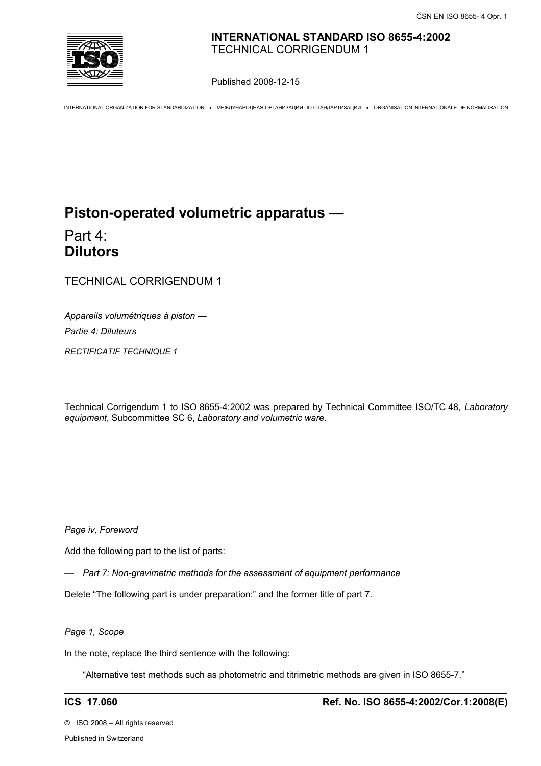

### **INTERNATIONAL STANDARD ISO 8655-4:2002**  TECHNICAL CORRIGENDUM 1

Published 2008-12-15

INTERNATIONAL ORGANIZATION FOR STANDARDIZATION • МЕЖДУНАРОДНАЯ ОРГАНИЗАЦИЯ ПО СТАНДАРТИЗАЦИИ • ORGANISATION INTERNATIONALE DE NORMALISATION

## **Piston-operated volumetric apparatus —**

Part 4: **Dilutors** 

### TECHNICAL CORRIGENDUM 1

*Appareils volumétriques à piston — Partie 4: Diluteurs RECTIFICATIF TECHNIQUE 1*

Technical Corrigendum 1 to ISO 8655-4:2002 was prepared by Technical Committee ISO/TC 48, *Laboratory equipment*, Subcommittee SC 6, *Laboratory and volumetric ware*.

*Page iv, Foreword* 

Add the following part to the list of parts:

⎯ *Part 7: Non-gravimetric methods for the assessment of equipment performance* 

L

Delete "The following part is under preparation:" and the former title of part 7.

*Page 1, Scope* 

In the note, replace the third sentence with the following:

"Alternative test methods such as photometric and titrimetric methods are given in ISO 8655-7."

©ISO 2008 – All rights reserved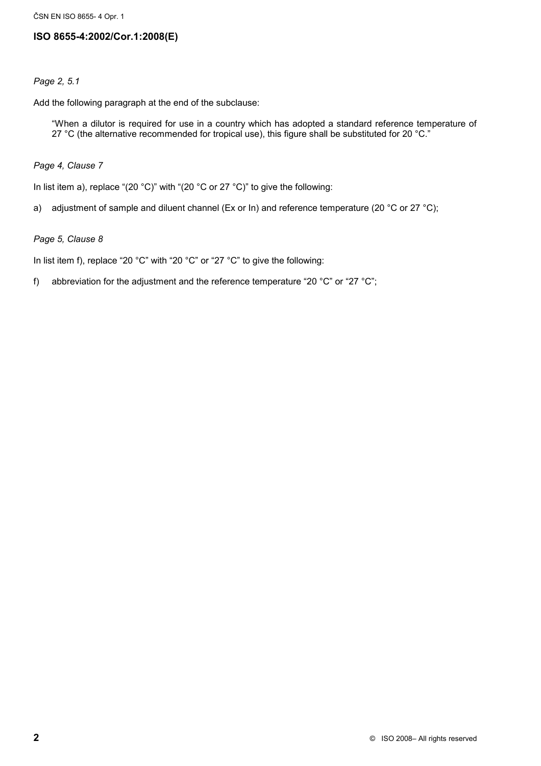### **ISO 8655-4:2002/Cor.1:2008(E)**

#### *Page 2, 5.1*

Add the following paragraph at the end of the subclause:

"When a dilutor is required for use in a country which has adopted a standard reference temperature of 27 °C (the alternative recommended for tropical use), this figure shall be substituted for 20 °C."

#### *Page 4, Clause 7*

In list item a), replace "(20 °C)" with "(20 °C or 27 °C)" to give the following:

a) adjustment of sample and diluent channel (Ex or In) and reference temperature (20 °C or 27 °C);

#### *Page 5, Clause 8*

In list item f), replace "20 °C" with "20 °C" or "27 °C" to give the following:

f) abbreviation for the adjustment and the reference temperature "20 °C" or "27 °C";